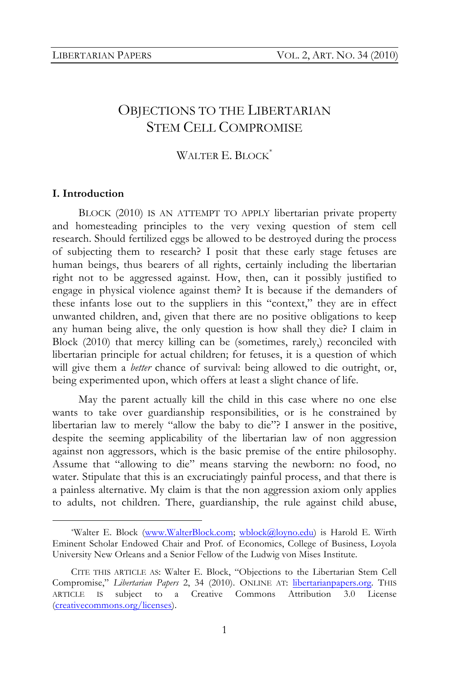# OBJECTIONS TO THE LIBERTARIAN STEM CELL COMPROMISE

# WALTER E. BLOCK<sup>\*</sup>

### **I. Introduction**

BLOCK (2010) IS AN ATTEMPT TO APPLY libertarian private property and homesteading principles to the very vexing question of stem cell research. Should fertilized eggs be allowed to be destroyed during the process of subjecting them to research? I posit that these early stage fetuses are human beings, thus bearers of all rights, certainly including the libertarian right not to be aggressed against. How, then, can it possibly justified to engage in physical violence against them? It is because if the demanders of these infants lose out to the suppliers in this "context," they are in effect unwanted children, and, given that there are no positive obligations to keep any human being alive, the only question is how shall they die? I claim in Block (2010) that mercy killing can be (sometimes, rarely,) reconciled with libertarian principle for actual children; for fetuses, it is a question of which will give them a *better* chance of survival: being allowed to die outright, or, being experimented upon, which offers at least a slight chance of life.

May the parent actually kill the child in this case where no one else wants to take over guardianship responsibilities, or is he constrained by libertarian law to merely "allow the baby to die"? I answer in the positive, despite the seeming applicability of the libertarian law of non aggression against non aggressors, which is the basic premise of the entire philosophy. Assume that "allowing to die" means starving the newborn: no food, no water. Stipulate that this is an excruciatingly painful process, and that there is a painless alternative. My claim is that the non aggression axiom only applies to adults, not children. There, guardianship, the rule against child abuse,

 <sup>\*</sup>Walter E. Block (www.WalterBlock.com; wblock@loyno.edu) is Harold E. Wirth Eminent Scholar Endowed Chair and Prof. of Economics, College of Business, Loyola University New Orleans and a Senior Fellow of the Ludwig von Mises Institute.

CITE THIS ARTICLE AS: Walter E. Block, "Objections to the Libertarian Stem Cell Compromise," *Libertarian Papers* 2, 34 (2010). ONLINE AT: libertarianpapers.org. THIS ARTICLE IS subject to a Creative Commons Attribution 3.0 License (creativecommons.org/licenses).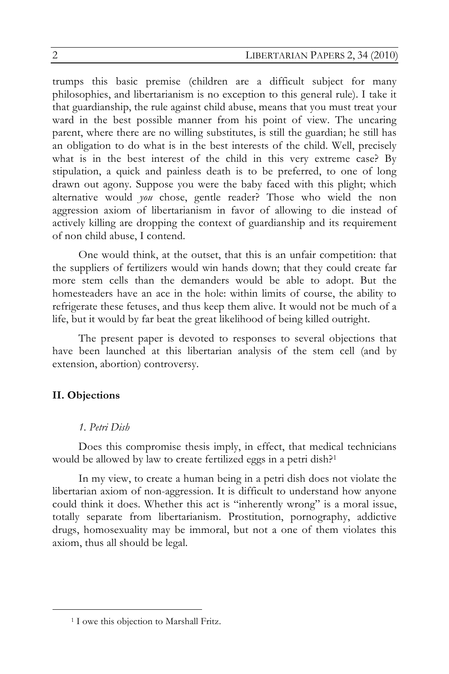trumps this basic premise (children are a difficult subject for many philosophies, and libertarianism is no exception to this general rule). I take it that guardianship, the rule against child abuse, means that you must treat your ward in the best possible manner from his point of view. The uncaring parent, where there are no willing substitutes, is still the guardian; he still has an obligation to do what is in the best interests of the child. Well, precisely what is in the best interest of the child in this very extreme case? By stipulation, a quick and painless death is to be preferred, to one of long drawn out agony. Suppose you were the baby faced with this plight; which alternative would *you* chose, gentle reader? Those who wield the non aggression axiom of libertarianism in favor of allowing to die instead of actively killing are dropping the context of guardianship and its requirement of non child abuse, I contend.

One would think, at the outset, that this is an unfair competition: that the suppliers of fertilizers would win hands down; that they could create far more stem cells than the demanders would be able to adopt. But the homesteaders have an ace in the hole: within limits of course, the ability to refrigerate these fetuses, and thus keep them alive. It would not be much of a life, but it would by far beat the great likelihood of being killed outright.

The present paper is devoted to responses to several objections that have been launched at this libertarian analysis of the stem cell (and by extension, abortion) controversy.

# **II. Objections**

## *1. Petri Dish*

Does this compromise thesis imply, in effect, that medical technicians would be allowed by law to create fertilized eggs in a petri dish?<sup>1</sup>

In my view, to create a human being in a petri dish does not violate the libertarian axiom of non-aggression. It is difficult to understand how anyone could think it does. Whether this act is "inherently wrong" is a moral issue, totally separate from libertarianism. Prostitution, pornography, addictive drugs, homosexuality may be immoral, but not a one of them violates this axiom, thus all should be legal.

 <sup>1</sup> I owe this objection to Marshall Fritz.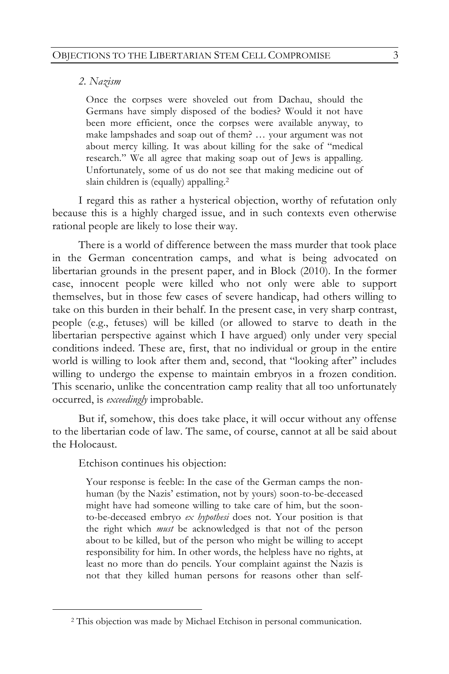### *2. Nazism*

Once the corpses were shoveled out from Dachau, should the Germans have simply disposed of the bodies? Would it not have been more efficient, once the corpses were available anyway, to make lampshades and soap out of them? … your argument was not about mercy killing. It was about killing for the sake of "medical research." We all agree that making soap out of Jews is appalling. Unfortunately, some of us do not see that making medicine out of slain children is (equally) appalling.2

I regard this as rather a hysterical objection, worthy of refutation only because this is a highly charged issue, and in such contexts even otherwise rational people are likely to lose their way.

There is a world of difference between the mass murder that took place in the German concentration camps, and what is being advocated on libertarian grounds in the present paper, and in Block (2010). In the former case, innocent people were killed who not only were able to support themselves, but in those few cases of severe handicap, had others willing to take on this burden in their behalf. In the present case, in very sharp contrast, people (e.g., fetuses) will be killed (or allowed to starve to death in the libertarian perspective against which I have argued) only under very special conditions indeed. These are, first, that no individual or group in the entire world is willing to look after them and, second, that "looking after" includes willing to undergo the expense to maintain embryos in a frozen condition. This scenario, unlike the concentration camp reality that all too unfortunately occurred, is *exceedingly* improbable.

But if, somehow, this does take place, it will occur without any offense to the libertarian code of law. The same, of course, cannot at all be said about the Holocaust.

Etchison continues his objection:

Your response is feeble: In the case of the German camps the nonhuman (by the Nazis' estimation, not by yours) soon-to-be-deceased might have had someone willing to take care of him, but the soonto-be-deceased embryo *ex hypothesi* does not. Your position is that the right which *must* be acknowledged is that not of the person about to be killed, but of the person who might be willing to accept responsibility for him. In other words, the helpless have no rights, at least no more than do pencils. Your complaint against the Nazis is not that they killed human persons for reasons other than self-

 <sup>2</sup> This objection was made by Michael Etchison in personal communication.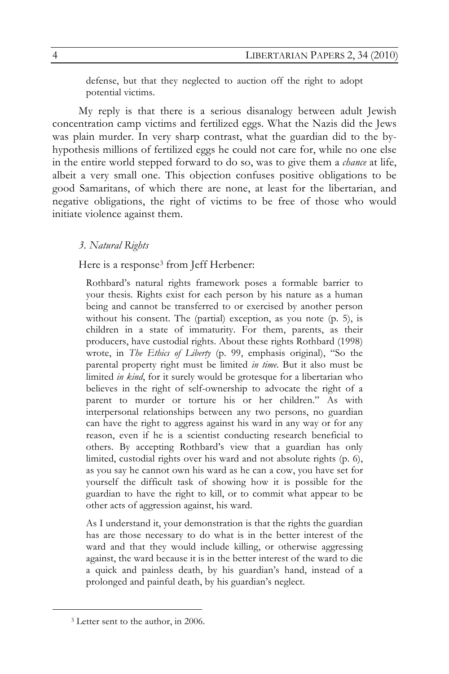defense, but that they neglected to auction off the right to adopt potential victims.

My reply is that there is a serious disanalogy between adult Jewish concentration camp victims and fertilized eggs. What the Nazis did the Jews was plain murder. In very sharp contrast, what the guardian did to the byhypothesis millions of fertilized eggs he could not care for, while no one else in the entire world stepped forward to do so, was to give them a *chance* at life, albeit a very small one. This objection confuses positive obligations to be good Samaritans, of which there are none, at least for the libertarian, and negative obligations, the right of victims to be free of those who would initiate violence against them.

### *3. Natural Rights*

Here is a response<sup>3</sup> from Jeff Herbener:

Rothbard's natural rights framework poses a formable barrier to your thesis. Rights exist for each person by his nature as a human being and cannot be transferred to or exercised by another person without his consent. The (partial) exception, as you note (p. 5), is children in a state of immaturity. For them, parents, as their producers, have custodial rights. About these rights Rothbard (1998) wrote, in *The Ethics of Liberty* (p. 99, emphasis original), "So the parental property right must be limited *in time*. But it also must be limited *in kind*, for it surely would be grotesque for a libertarian who believes in the right of self-ownership to advocate the right of a parent to murder or torture his or her children." As with interpersonal relationships between any two persons, no guardian can have the right to aggress against his ward in any way or for any reason, even if he is a scientist conducting research beneficial to others. By accepting Rothbard's view that a guardian has only limited, custodial rights over his ward and not absolute rights (p. 6), as you say he cannot own his ward as he can a cow, you have set for yourself the difficult task of showing how it is possible for the guardian to have the right to kill, or to commit what appear to be other acts of aggression against, his ward.

As I understand it, your demonstration is that the rights the guardian has are those necessary to do what is in the better interest of the ward and that they would include killing, or otherwise aggressing against, the ward because it is in the better interest of the ward to die a quick and painless death, by his guardian's hand, instead of a prolonged and painful death, by his guardian's neglect.

 <sup>3</sup> Letter sent to the author, in 2006.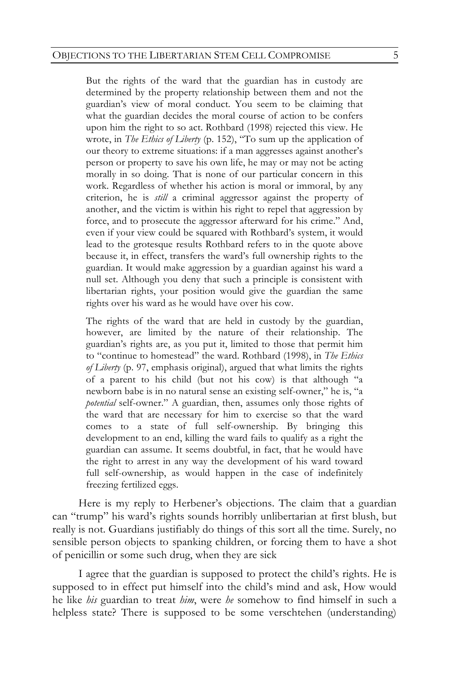But the rights of the ward that the guardian has in custody are determined by the property relationship between them and not the guardian's view of moral conduct. You seem to be claiming that what the guardian decides the moral course of action to be confers upon him the right to so act. Rothbard (1998) rejected this view. He wrote, in *The Ethics of Liberty* (p. 152), "To sum up the application of our theory to extreme situations: if a man aggresses against another's person or property to save his own life, he may or may not be acting morally in so doing. That is none of our particular concern in this work. Regardless of whether his action is moral or immoral, by any criterion, he is *still* a criminal aggressor against the property of another, and the victim is within his right to repel that aggression by force, and to prosecute the aggressor afterward for his crime." And, even if your view could be squared with Rothbard's system, it would lead to the grotesque results Rothbard refers to in the quote above because it, in effect, transfers the ward's full ownership rights to the guardian. It would make aggression by a guardian against his ward a null set. Although you deny that such a principle is consistent with libertarian rights, your position would give the guardian the same rights over his ward as he would have over his cow.

The rights of the ward that are held in custody by the guardian, however, are limited by the nature of their relationship. The guardian's rights are, as you put it, limited to those that permit him to "continue to homestead" the ward. Rothbard (1998), in *The Ethics of Liberty* (p. 97, emphasis original), argued that what limits the rights of a parent to his child (but not his cow) is that although "a newborn babe is in no natural sense an existing self-owner," he is, "a *potential* self-owner." A guardian, then, assumes only those rights of the ward that are necessary for him to exercise so that the ward comes to a state of full self-ownership. By bringing this development to an end, killing the ward fails to qualify as a right the guardian can assume. It seems doubtful, in fact, that he would have the right to arrest in any way the development of his ward toward full self-ownership, as would happen in the case of indefinitely freezing fertilized eggs.

Here is my reply to Herbener's objections. The claim that a guardian can "trump" his ward's rights sounds horribly unlibertarian at first blush, but really is not. Guardians justifiably do things of this sort all the time. Surely, no sensible person objects to spanking children, or forcing them to have a shot of penicillin or some such drug, when they are sick

I agree that the guardian is supposed to protect the child's rights. He is supposed to in effect put himself into the child's mind and ask, How would he like *his* guardian to treat *him*, were *he* somehow to find himself in such a helpless state? There is supposed to be some verschtehen (understanding)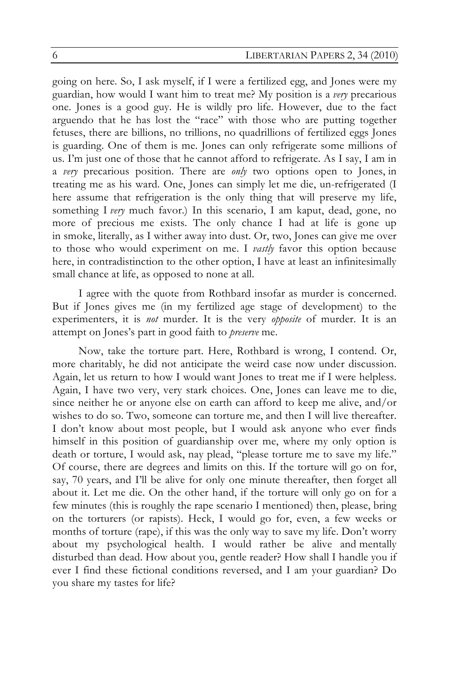going on here. So, I ask myself, if I were a fertilized egg, and Jones were my guardian, how would I want him to treat me? My position is a *very* precarious one. Jones is a good guy. He is wildly pro life. However, due to the fact arguendo that he has lost the "race" with those who are putting together fetuses, there are billions, no trillions, no quadrillions of fertilized eggs Jones is guarding. One of them is me. Jones can only refrigerate some millions of us. I'm just one of those that he cannot afford to refrigerate. As I say, I am in a *very* precarious position. There are *only* two options open to Jones, in treating me as his ward. One, Jones can simply let me die, un-refrigerated (I here assume that refrigeration is the only thing that will preserve my life, something I *very* much favor.) In this scenario, I am kaput, dead, gone, no more of precious me exists. The only chance I had at life is gone up in smoke, literally, as I wither away into dust. Or, two, Jones can give me over to those who would experiment on me. I *vastly* favor this option because here, in contradistinction to the other option, I have at least an infinitesimally small chance at life, as opposed to none at all.

I agree with the quote from Rothbard insofar as murder is concerned. But if Jones gives me (in my fertilized age stage of development) to the experimenters, it is *not* murder. It is the very *opposite* of murder. It is an attempt on Jones's part in good faith to *preserve* me.

Now, take the torture part. Here, Rothbard is wrong, I contend. Or, more charitably, he did not anticipate the weird case now under discussion. Again, let us return to how I would want Jones to treat me if I were helpless. Again, I have two very, very stark choices. One, Jones can leave me to die, since neither he or anyone else on earth can afford to keep me alive, and/or wishes to do so. Two, someone can torture me, and then I will live thereafter. I don't know about most people, but I would ask anyone who ever finds himself in this position of guardianship over me, where my only option is death or torture, I would ask, nay plead, "please torture me to save my life." Of course, there are degrees and limits on this. If the torture will go on for, say, 70 years, and I'll be alive for only one minute thereafter, then forget all about it. Let me die. On the other hand, if the torture will only go on for a few minutes (this is roughly the rape scenario I mentioned) then, please, bring on the torturers (or rapists). Heck, I would go for, even, a few weeks or months of torture (rape), if this was the only way to save my life. Don't worry about my psychological health. I would rather be alive and mentally disturbed than dead. How about you, gentle reader? How shall I handle you if ever I find these fictional conditions reversed, and I am your guardian? Do you share my tastes for life?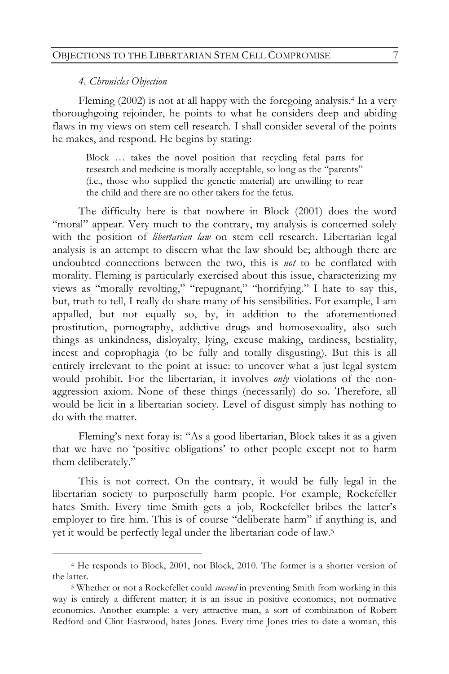### *4. Chronicles Objection*

Fleming (2002) is not at all happy with the foregoing analysis.4 In a very thoroughgoing rejoinder, he points to what he considers deep and abiding flaws in my views on stem cell research. I shall consider several of the points he makes, and respond. He begins by stating:

Block … takes the novel position that recycling fetal parts for research and medicine is morally acceptable, so long as the "parents" (i.e., those who supplied the genetic material) are unwilling to rear the child and there are no other takers for the fetus.

The difficulty here is that nowhere in Block (2001) does the word "moral" appear. Very much to the contrary, my analysis is concerned solely with the position of *libertarian law* on stem cell research. Libertarian legal analysis is an attempt to discern what the law should be; although there are undoubted connections between the two, this is *not* to be conflated with morality. Fleming is particularly exercised about this issue, characterizing my views as "morally revolting," "repugnant," "horrifying." I hate to say this, but, truth to tell, I really do share many of his sensibilities. For example, I am appalled, but not equally so, by, in addition to the aforementioned prostitution, pornography, addictive drugs and homosexuality, also such things as unkindness, disloyalty, lying, excuse making, tardiness, bestiality, incest and coprophagia (to be fully and totally disgusting). But this is all entirely irrelevant to the point at issue: to uncover what a just legal system would prohibit. For the libertarian, it involves *only* violations of the nonaggression axiom. None of these things (necessarily) do so. Therefore, all would be licit in a libertarian society. Level of disgust simply has nothing to do with the matter.

Fleming's next foray is: "As a good libertarian, Block takes it as a given that we have no 'positive obligations' to other people except not to harm them deliberately."

This is not correct. On the contrary, it would be fully legal in the libertarian society to purposefully harm people. For example, Rockefeller hates Smith. Every time Smith gets a job, Rockefeller bribes the latter's employer to fire him. This is of course "deliberate harm" if anything is, and yet it would be perfectly legal under the libertarian code of law.5

 <sup>4</sup> He responds to Block, 2001, not Block, 2010. The former is a shorter version of the latter.

<sup>5</sup> Whether or not a Rockefeller could *succeed* in preventing Smith from working in this way is entirely a different matter; it is an issue in positive economics, not normative economics. Another example: a very attractive man, a sort of combination of Robert Redford and Clint Eastwood, hates Jones. Every time Jones tries to date a woman, this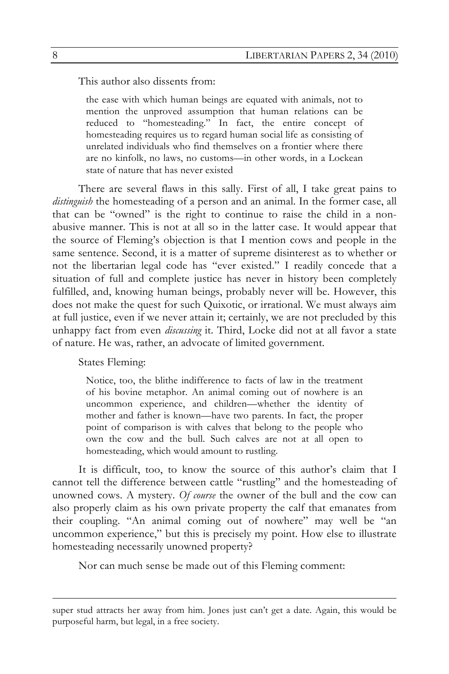This author also dissents from:

the ease with which human beings are equated with animals, not to mention the unproved assumption that human relations can be reduced to "homesteading." In fact, the entire concept of homesteading requires us to regard human social life as consisting of unrelated individuals who find themselves on a frontier where there are no kinfolk, no laws, no customs—in other words, in a Lockean state of nature that has never existed

There are several flaws in this sally. First of all, I take great pains to *distinguish* the homesteading of a person and an animal. In the former case, all that can be "owned" is the right to continue to raise the child in a nonabusive manner. This is not at all so in the latter case. It would appear that the source of Fleming's objection is that I mention cows and people in the same sentence. Second, it is a matter of supreme disinterest as to whether or not the libertarian legal code has "ever existed." I readily concede that a situation of full and complete justice has never in history been completely fulfilled, and, knowing human beings, probably never will be. However, this does not make the quest for such Quixotic, or irrational. We must always aim at full justice, even if we never attain it; certainly, we are not precluded by this unhappy fact from even *discussing* it. Third, Locke did not at all favor a state of nature. He was, rather, an advocate of limited government.

States Fleming:

Notice, too, the blithe indifference to facts of law in the treatment of his bovine metaphor. An animal coming out of nowhere is an uncommon experience, and children—whether the identity of mother and father is known—have two parents. In fact, the proper point of comparison is with calves that belong to the people who own the cow and the bull. Such calves are not at all open to homesteading, which would amount to rustling.

It is difficult, too, to know the source of this author's claim that I cannot tell the difference between cattle "rustling" and the homesteading of unowned cows. A mystery. *Of course* the owner of the bull and the cow can also properly claim as his own private property the calf that emanates from their coupling. "An animal coming out of nowhere" may well be "an uncommon experience," but this is precisely my point. How else to illustrate homesteading necessarily unowned property?

Nor can much sense be made out of this Fleming comment:

super stud attracts her away from him. Jones just can't get a date. Again, this would be purposeful harm, but legal, in a free society.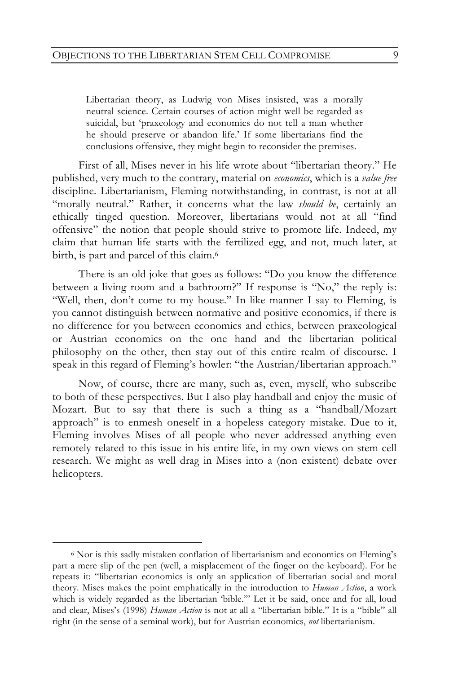Libertarian theory, as Ludwig von Mises insisted, was a morally neutral science. Certain courses of action might well be regarded as suicidal, but 'praxeology and economics do not tell a man whether he should preserve or abandon life.' If some libertarians find the conclusions offensive, they might begin to reconsider the premises.

First of all, Mises never in his life wrote about "libertarian theory." He published, very much to the contrary, material on *economics*, which is a *value free* discipline. Libertarianism, Fleming notwithstanding, in contrast, is not at all "morally neutral." Rather, it concerns what the law *should be*, certainly an ethically tinged question. Moreover, libertarians would not at all "find offensive" the notion that people should strive to promote life. Indeed, my claim that human life starts with the fertilized egg, and not, much later, at birth, is part and parcel of this claim.<sup>6</sup>

There is an old joke that goes as follows: "Do you know the difference between a living room and a bathroom?" If response is "No," the reply is: "Well, then, don't come to my house." In like manner I say to Fleming, is you cannot distinguish between normative and positive economics, if there is no difference for you between economics and ethics, between praxeological or Austrian economics on the one hand and the libertarian political philosophy on the other, then stay out of this entire realm of discourse. I speak in this regard of Fleming's howler: "the Austrian/libertarian approach."

Now, of course, there are many, such as, even, myself, who subscribe to both of these perspectives. But I also play handball and enjoy the music of Mozart. But to say that there is such a thing as a "handball/Mozart approach" is to enmesh oneself in a hopeless category mistake. Due to it, Fleming involves Mises of all people who never addressed anything even remotely related to this issue in his entire life, in my own views on stem cell research. We might as well drag in Mises into a (non existent) debate over helicopters.

 <sup>6</sup> Nor is this sadly mistaken conflation of libertarianism and economics on Fleming's part a mere slip of the pen (well, a misplacement of the finger on the keyboard). For he repeats it: "libertarian economics is only an application of libertarian social and moral theory. Mises makes the point emphatically in the introduction to *Human Action*, a work which is widely regarded as the libertarian 'bible.'" Let it be said, once and for all, loud and clear, Mises's (1998) *Human Action* is not at all a "libertarian bible." It is a "bible" all right (in the sense of a seminal work), but for Austrian economics, *not* libertarianism.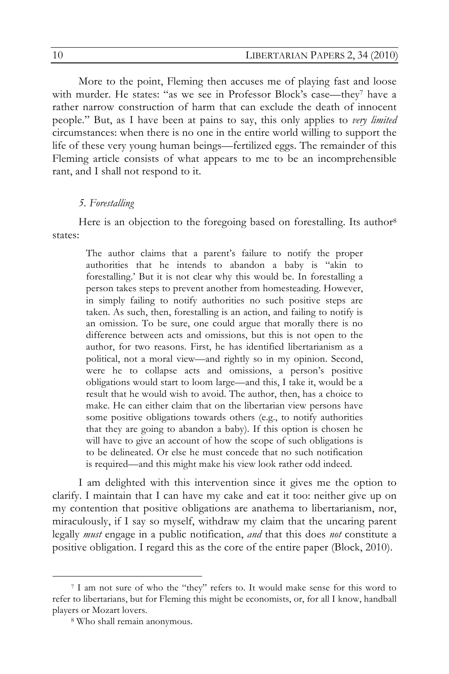More to the point, Fleming then accuses me of playing fast and loose with murder. He states: "as we see in Professor Block's case—they<sup>7</sup> have a rather narrow construction of harm that can exclude the death of innocent people." But, as I have been at pains to say, this only applies to *very limited* circumstances: when there is no one in the entire world willing to support the life of these very young human beings—fertilized eggs. The remainder of this Fleming article consists of what appears to me to be an incomprehensible rant, and I shall not respond to it.

### *5. Forestalling*

Here is an objection to the foregoing based on forestalling. Its author<sup>8</sup> states:

The author claims that a parent's failure to notify the proper authorities that he intends to abandon a baby is "akin to forestalling.' But it is not clear why this would be. In forestalling a person takes steps to prevent another from homesteading. However, in simply failing to notify authorities no such positive steps are taken. As such, then, forestalling is an action, and failing to notify is an omission. To be sure, one could argue that morally there is no difference between acts and omissions, but this is not open to the author, for two reasons. First, he has identified libertarianism as a political, not a moral view—and rightly so in my opinion. Second, were he to collapse acts and omissions, a person's positive obligations would start to loom large—and this, I take it, would be a result that he would wish to avoid. The author, then, has a choice to make. He can either claim that on the libertarian view persons have some positive obligations towards others (e.g., to notify authorities that they are going to abandon a baby). If this option is chosen he will have to give an account of how the scope of such obligations is to be delineated. Or else he must concede that no such notification is required—and this might make his view look rather odd indeed.

I am delighted with this intervention since it gives me the option to clarify. I maintain that I can have my cake and eat it too: neither give up on my contention that positive obligations are anathema to libertarianism, nor, miraculously, if I say so myself, withdraw my claim that the uncaring parent legally *must* engage in a public notification, *and* that this does *not* constitute a positive obligation. I regard this as the core of the entire paper (Block, 2010).

 <sup>7</sup> I am not sure of who the "they" refers to. It would make sense for this word to refer to libertarians, but for Fleming this might be economists, or, for all I know, handball players or Mozart lovers.

<sup>8</sup> Who shall remain anonymous.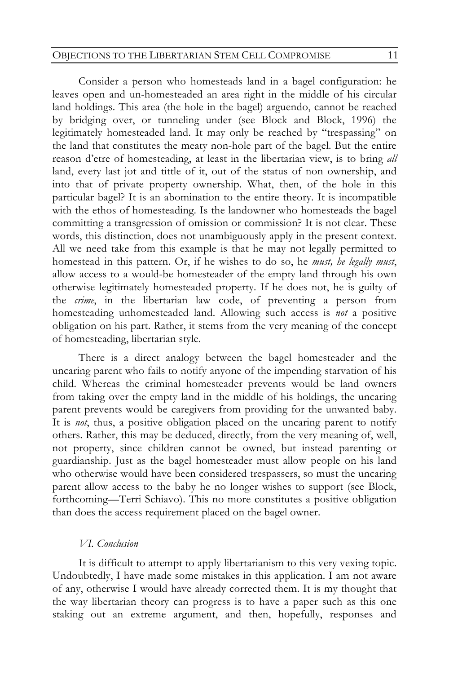### OBJECTIONS TO THE LIBERTARIAN STEM CELL COMPROMISE 11

Consider a person who homesteads land in a bagel configuration: he leaves open and un-homesteaded an area right in the middle of his circular land holdings. This area (the hole in the bagel) arguendo, cannot be reached by bridging over, or tunneling under (see Block and Block, 1996) the legitimately homesteaded land. It may only be reached by "trespassing" on the land that constitutes the meaty non-hole part of the bagel. But the entire reason d'etre of homesteading, at least in the libertarian view, is to bring *all* land, every last jot and tittle of it, out of the status of non ownership, and into that of private property ownership. What, then, of the hole in this particular bagel? It is an abomination to the entire theory. It is incompatible with the ethos of homesteading. Is the landowner who homesteads the bagel committing a transgression of omission or commission? It is not clear. These words, this distinction, does not unambiguously apply in the present context. All we need take from this example is that he may not legally permitted to homestead in this pattern. Or, if he wishes to do so, he *must, he legally must*, allow access to a would-be homesteader of the empty land through his own otherwise legitimately homesteaded property. If he does not, he is guilty of the *crime*, in the libertarian law code, of preventing a person from homesteading unhomesteaded land. Allowing such access is *not* a positive obligation on his part. Rather, it stems from the very meaning of the concept of homesteading, libertarian style.

There is a direct analogy between the bagel homesteader and the uncaring parent who fails to notify anyone of the impending starvation of his child. Whereas the criminal homesteader prevents would be land owners from taking over the empty land in the middle of his holdings, the uncaring parent prevents would be caregivers from providing for the unwanted baby. It is *not*, thus, a positive obligation placed on the uncaring parent to notify others. Rather, this may be deduced, directly, from the very meaning of, well, not property, since children cannot be owned, but instead parenting or guardianship. Just as the bagel homesteader must allow people on his land who otherwise would have been considered trespassers, so must the uncaring parent allow access to the baby he no longer wishes to support (see Block, forthcoming—Terri Schiavo). This no more constitutes a positive obligation than does the access requirement placed on the bagel owner.

### *VI. Conclusion*

It is difficult to attempt to apply libertarianism to this very vexing topic. Undoubtedly, I have made some mistakes in this application. I am not aware of any, otherwise I would have already corrected them. It is my thought that the way libertarian theory can progress is to have a paper such as this one staking out an extreme argument, and then, hopefully, responses and